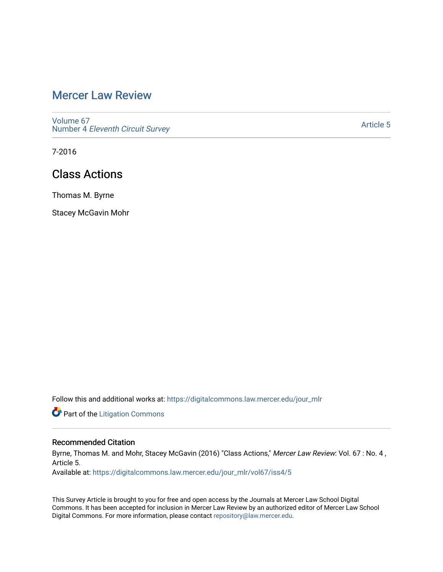## [Mercer Law Review](https://digitalcommons.law.mercer.edu/jour_mlr)

[Volume 67](https://digitalcommons.law.mercer.edu/jour_mlr/vol67) Number 4 [Eleventh Circuit Survey](https://digitalcommons.law.mercer.edu/jour_mlr/vol67/iss4) 

[Article 5](https://digitalcommons.law.mercer.edu/jour_mlr/vol67/iss4/5) 

7-2016

## Class Actions

Thomas M. Byrne

Stacey McGavin Mohr

Follow this and additional works at: [https://digitalcommons.law.mercer.edu/jour\\_mlr](https://digitalcommons.law.mercer.edu/jour_mlr?utm_source=digitalcommons.law.mercer.edu%2Fjour_mlr%2Fvol67%2Fiss4%2F5&utm_medium=PDF&utm_campaign=PDFCoverPages)

**Part of the [Litigation Commons](http://network.bepress.com/hgg/discipline/910?utm_source=digitalcommons.law.mercer.edu%2Fjour_mlr%2Fvol67%2Fiss4%2F5&utm_medium=PDF&utm_campaign=PDFCoverPages)** 

### Recommended Citation

Byrne, Thomas M. and Mohr, Stacey McGavin (2016) "Class Actions," Mercer Law Review: Vol. 67 : No. 4, Article 5.

Available at: [https://digitalcommons.law.mercer.edu/jour\\_mlr/vol67/iss4/5](https://digitalcommons.law.mercer.edu/jour_mlr/vol67/iss4/5?utm_source=digitalcommons.law.mercer.edu%2Fjour_mlr%2Fvol67%2Fiss4%2F5&utm_medium=PDF&utm_campaign=PDFCoverPages)

This Survey Article is brought to you for free and open access by the Journals at Mercer Law School Digital Commons. It has been accepted for inclusion in Mercer Law Review by an authorized editor of Mercer Law School Digital Commons. For more information, please contact [repository@law.mercer.edu](mailto:repository@law.mercer.edu).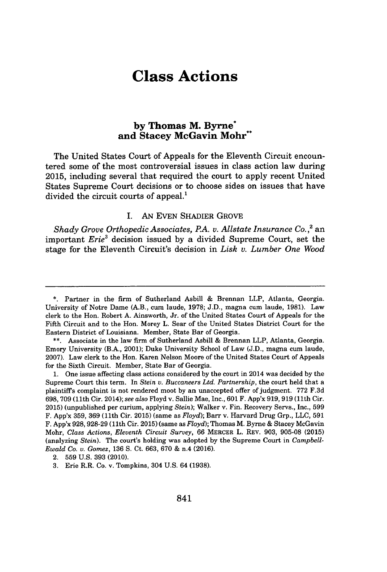# **Class Actions**

### **by Thomas M. Byrne\* and Stacey McGavin Mohr\*\***

The United States Court of Appeals for the Eleventh Circuit encountered some of the most controversial issues in class action law during **2015,** including several that required the court to apply recent United States Supreme Court decisions or to choose sides on issues that have divided the circuit courts of appeal.'

#### I. **AN EVEN** SHADIER GROVE

*Shady Grove Orthopedic Associates, PA. v. Allstate Insurance Co.,2* an important *Erie<sup>3</sup>*decision issued **by** a divided Supreme Court, set the stage for the Eleventh Circuit's decision in *Lisk v. Lumber One Wood*

**<sup>\*.</sup>** Partner in the firm of Sutherland Asbill **&** Brennan LLP, Atlanta, Georgia. University of Notre Dame (A.B., cum laude, **1978; J.D.,** magna cum laude, **1981).** Law clerk to the Hon. Robert **A.** Ainsworth, Jr. of the United States Court of Appeals for the Fifth Circuit and to the Hon. Morey L. Sear of the United States District Court for the Eastern District of Louisiana. Member, State Bar of Georgia.

**<sup>\*\*.</sup>** Associate in the law firm of Sutherland Asbill **&** Brennan LLP, Atlanta, Georgia. Emory University (B.A., 2001); Duke University School of Law **(J.D.,** magna cum laude, **2007).** Law clerk to the Hon. Karen Nelson Moore of the United States Court of Appeals for the Sixth Circuit. Member, State Bar of Georgia.

**<sup>1.</sup>** One issue affecting class actions considered **by** the court in 2014 was decided **by** the Supreme Court this term. In *Stein v. Buccaneers Ltd. Partnership,* the court held that a plaintiffs complaint is not rendered moot **by** an unaccepted offer of judgment. **772 F.3d 698, 709** (11th Cir. 2014); *see also* Floyd v. Sallie Mae, Inc., **601** F. App'x **919, 919** (11th Cir. **2015)** (unpublished per curium, applying *Stein);* Walker v. Fin. Recovery Servs., Inc., **599** F. App'x **359, 369** (11th Cir. **2015)** (same as *Floyd);* Barr v. Harvard Drug Grp., **LLC, 591** F. App'x **928,928-29** (11th Cir. **2015)** (same as *Floyd);* Thomas M. Byrne **&** Stacey McGavin Mohr, *Class Actions, Eleventh Circuit Survey,* **66** MERCER L. REV. **903, 905-08 (2015)** (analyzing *Stein).* The court's holding was adopted **by** the Supreme Court in *Campbell-Ewald Co. v. Gomez,* **136 S.** Ct. **663, 670 &** n.4 **(2016).**

<sup>2.</sup> **559 U.S. 393** (2010).

**<sup>3.</sup>** Erie R.R. Co. v. Tompkins, 304 **U.S.** 64 **(1938).**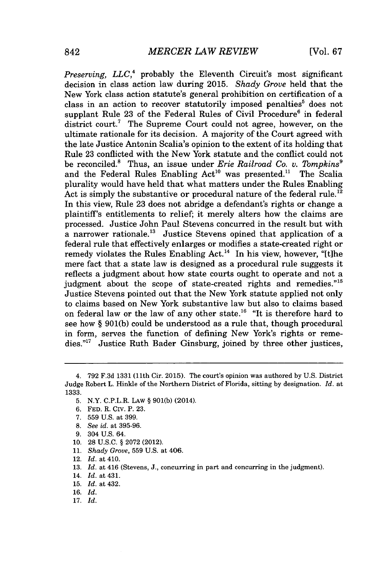*Preserving, LLC*,<sup>4</sup> probably the Eleventh Circuit's most significant decision in class action law during **2015.** *Shady Grove* held that the New York class action statute's general prohibition on certification of a class in an action to recover statutorily imposed penalties' does not supplant Rule **23** of the Federal Rules of Civil Procedure' in federal district court.<sup>7</sup> The Supreme Court could not agree, however, on the ultimate rationale for its decision. **A** majority of the Court agreed with the late Justice Antonin Scalia's opinion to the extent of its holding that Rule **23** conflicted with the New York statute and the conflict could not be reconciled.<sup>8</sup> Thus, an issue under *Erie Railroad Co. v. Tompkins*<sup>9</sup> and the Federal Rules Enabling  $Act^{10}$  was presented.<sup>11</sup> The Scalia plurality would have held that what matters under the Rules Enabling Act is simply the substantive or procedural nature of the federal rule.<sup>12</sup> In this view, Rule **23** does not abridge a defendant's rights or change a plaintiff's entitlements to relief; it merely alters how the claims are processed. Justice John Paul Stevens concurred in the result but with a narrower rationale." Justice Stevens opined that application of a federal rule that effectively enlarges or modifies a state-created right or remedy violates the Rules Enabling Act.<sup>14</sup> In his view, however, "[t]he mere fact that a state law is designed as a procedural rule suggests it reflects a judgment about how state courts ought to operate and not a judgment about the scope of state-created rights and remedies."<sup>15</sup> Justice Stevens pointed out that the New York statute applied not only to claims based on New York substantive law but also to claims based on federal law or the law of any other state.<sup>16</sup> "It is therefore hard to see how *§* **901(b)** could be understood as a rule that, though procedural in form, serves the function of defining New York's rights or remedies."" Justice Ruth Bader Ginsburg, joined **by** three other justices,

- **7. 559 U.S.** at **399.**
- **8.** *See id.* at **395-96.**
- **9.** 304 **U.S.** 64.
- **10. 28 U.S.C.** *§* **2072** (2012).
- **11.** *Shady Grove,* **559 U.S.** at 406.

- 14. *Id.* at 431.
- **15.** *Id.* at 432.
- **16.** *Id.*
- **17.** *Id.*

<sup>4.</sup> **792 F.3d 1331** (11th Cir. **2015).** The court's opinion was authored **by U.S.** District Judge Robert L. Hinkle of the Northern District of Florida, sitting **by** designation. *Id. at* **1333.**

**<sup>5.</sup>** N.Y. C.P.L.R. LAw *§* **901(b)** (2014).

**<sup>6.</sup> FED.** R. Civ. P. **23.**

<sup>12.</sup> *Id.* at 410.

**<sup>13.</sup>** *Id.* at 416 (Stevens, **J.,** concurring in part and concurring in the judgment).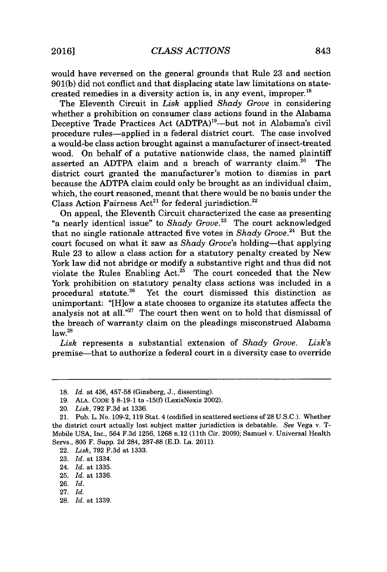would have reversed on the general grounds that Rule **23** and section **901(b)** did not conflict and that displacing state law limitations on statecreated remedies in a diversity action is, in any event, improper. $^{18}$ 

The Eleventh Circuit in *Lisk* applied *Shady Grove* in considering whether a prohibition on consumer class actions found in the Alabama Deceptive Trade Practices Act (ADTPA)<sup>19</sup>—but not in Alabama's civil procedure rules-applied in a federal district court. The case involved a would-be class action brought against a manufacturer of insect-treated wood. On behalf of a putative nationwide class, the named plaintiff asserted an ADTPA claim and a breach of warranty claim.<sup>20</sup> The district court granted the manufacturer's motion to dismiss in part because the **ADTPA** claim could only be brought as an individual claim, which, the court reasoned, meant that there would be no basis under the Class Action Fairness  $Act^{21}$  for federal jurisdiction.<sup>22</sup>

On appeal, the Eleventh Circuit characterized the case as presenting "a nearly identical issue" to *Shady Grove."* The court acknowledged that no single rationale attracted five votes in *Shady Grove.24* But the court focused on what it saw as *Shady Grove's* holding-that applying Rule **23** to allow a class action for a statutory penalty created **by** New York law did not abridge or modify a substantive right and thus did not violate the Rules Enabling Act.<sup>25</sup> The court conceded that the New York prohibition on statutory penalty class actions was included in a procedural statute.<sup>26</sup> Yet the court dismissed this distinction as unimportant: "[Hiow a state chooses to organize its statutes affects the analysis not at all."27 The court then went on to hold that dismissal of the breach of warranty claim on the pleadings misconstrued Alabama  $law.<sup>28</sup>$ 

*Lisk* represents a substantial extension of *Shady Grove. Lisk's* premise-that to authorize a federal court in a diversity case to override

**28.** *Id.* at **1339.**

**<sup>18.</sup>** *Id.* at 436, **457-58** (Ginsberg, **J.,** dissenting).

**<sup>19.</sup> ALA. CODE § 8-19-1** to **-15(f)** (LexisNexis 2002).

<sup>20.</sup> *Lisk,* **792 F.3d** at **1336.**

<sup>21.</sup> Pub. L. No. **109-2, 119** Stat. 4 (codified in scattered sections of **28 U.S.C.).** Whether the district court actually lost subject matter jurisdiction is debatable. *See* Vega v. T-Mobile **USA,** Inc., 564 **F.3d 1256, 1268** n.12 **(11th** Cir. **2009);** Samuel v. Universal Health Servs., **805** F. Supp. **2d** 284, **287-88 (E.D.** La. 2011).

<sup>22.</sup> *Lisk,* **792 F.3d** at **1333.**

**<sup>23.</sup>** *Id.* at 1334.

<sup>24.</sup> *Id.* at **1335.**

**<sup>25.</sup>** *Id.* at **1336.**

**<sup>26.</sup>** *Id.*

**<sup>27.</sup>** *Id.*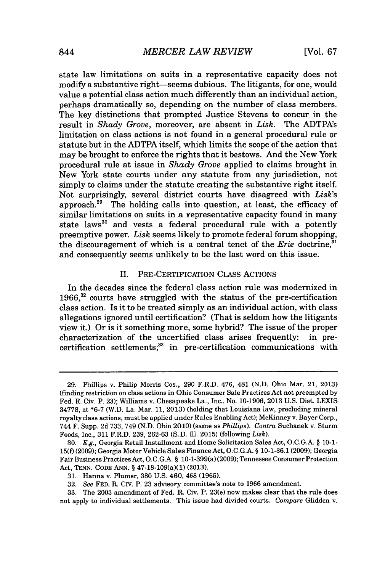state law limitations on suits in a representative capacity does not modify a substantive right-seems dubious. The litigants, for one, would value a potential class action much differently than an individual action, perhaps dramatically so, depending on the number of class members. The key distinctions that prompted Justice Stevens to concur in the result in *Shady Grove,* moreover, are absent in *Lisk.* The ADTPA's limitation on class actions is not found in a general procedural rule or statute but in the **ADTPA** itself, which limits the scope of the action that may be brought to enforce the rights that it bestows. And the New York procedural rule at issue in *Shady Grove* applied to claims brought in New York state courts under any statute from any jurisdiction, not simply to claims under the statute creating the substantive right itself. Not surprisingly, several district courts have disagreed with *Lisk's* approach.<sup>29</sup> The holding calls into question, at least, the efficacy of similar limitations on suits in a representative capacity found in many state laws<sup>30</sup> and vests a federal procedural rule with a potently preemptive power. *Lisk* seems likely to promote federal forum shopping, the discouragement of which is a central tenet of the *Erie* doctrine,' and consequently seems unlikely to be the last word on this issue.

#### II. PRE-CERTIFICATION CLASS **ACTIONS**

In the decades since the federal class action rule was modernized in **1966,32** courts have struggled with the status of the pre-certification class action. Is it to be treated simply as an individual action, with class allegations ignored until certification? (That is seldom how the litigants view it.) Or is it something more, some hybrid? The issue of the proper characterization of the uncertified class arises frequently: in pre $c$ ertification settlements; $33$  in pre-certification communications with

**<sup>29.</sup>** Phillips v. Philip Morris Cos., **290** F.R.D. 476, 481 **(N.D.** Ohio Mar. 21, **2013)** (finding restriction on class actions in Ohio Consumer Sale Practices Act not preempted **by** Fed. R. Civ. P. **23);** Williams v. Chesapeake La., Inc., No. **10-1906, 2013 U.S.** Dist. LEXIS **34778,** at **\*6-7** (W.D. La. Mar. **11, 2013)** (holding that Louisiana law, precluding mineral royalty class actions, must be applied under Rules Enabling Act); McKinney v. Bayer Corp., 744 F. Supp. **2d 733,** 749 **(N.D.** Ohio 2010) (same as *Phillips). Contra* Suchanek v. Sturm Foods, Inc., **311** F.R.D. **239, 262-63 (S.D.** Ill. **2015)** (following *Lisk).*

*<sup>30.</sup> E.g.,* Georgia Retail Installment and Home Solicitation Sales Act, **O.C.G.A. § 10-1- 15(f) (2009);** Georgia Motor Vehicle Sales Finance Act, **O.C.G.A. § 10-1-36.1 (2009);** Georgia Fair Business Practices Act, **O.C.G.A. §** 10-1-399(a) **(2009);** Tennessee Consumer Protection Act, **TENN. CODE ANN. §** 47-18-109(a)(1) **(2013).**

**<sup>31.</sup>** Hanna v. Plumer, **380 U.S.** 460, 468 **(1965).**

**<sup>32.</sup>** *See* **FED.** R. CIv. P. **23** advisory committee's note to **1966** amendment.

**<sup>33.</sup>** The **2003** amendment of Fed. R. Civ. P. 23(e) now makes clear that the rule does not apply to individual settlements. This issue had divided courts. *Compare* Glidden v.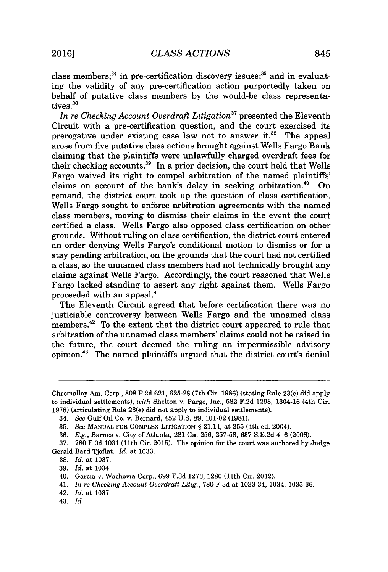class members; $^{34}$  in pre-certification discovery issues; $^{35}$  and in evaluating the validity of any pre-certification action purportedly taken on behalf of putative class members **by** the would-be class representatives.<sup>36</sup>

*In re Checking Account Overdraft Litigation"* presented the Eleventh Circuit with a pre-certification question, and the court exercised its prerogative under existing case law not to answer it.<sup>38</sup> The appeal arose from five putative class actions brought against Wells Fargo Bank claiming that the plaintiffs were unlawfully charged overdraft fees for their checking accounts.<sup>39</sup> In a prior decision, the court held that Wells Fargo waived its right to compel arbitration of the named plaintiffs' claims on account of the bank's delay in seeking arbitration.<sup>40</sup> On remand, the district court took up the question of class certification. Wells Fargo sought to enforce arbitration agreements with the named class members, moving to dismiss their claims in the event the court certified a class. Wells Fargo also opposed class certification on other grounds. Without ruling on class certification, the district court entered an order denying Wells Fargo's conditional motion to dismiss or for a stay pending arbitration, on the grounds that the court had not certified a class, so the unnamed class members had not technically brought any claims against Wells Fargo. Accordingly, the court reasoned that Wells Fargo lacked standing to assert any right against them. Wells Fargo proceeded with an appeal.<sup>41</sup>

The Eleventh Circuit agreed that before certification there was no justiciable controversy between Wells Fargo and the unnamed class members. $42$  To the extent that the district court appeared to rule that arbitration of the unnamed class members' claims could not be raised in the future, the court deemed the ruling an impermissible advisory  $opinion.<sup>43</sup>$  The named plaintiffs argued that the district court's denial

Chromalloy Am. Corp., **808 F.2d 621, 625-28** (7th Cir. **1986)** (stating Rule 23(e) did apply to individual settlements), *with* Shelton v. Pargo, Inc., **582 F.2d 1298,** 1304-16 (4th Cir. **1978)** (articulating Rule 23(e) did not apply to individual settlements).

<sup>34.</sup> *See Gulf* Oil Co. v. Bernard, 452 **U.S. 89, 101-02 (1981).**

*<sup>35.</sup> See* **MANUAL** FOR COMPLEX **LITIGATION §** 21.14, at **255** (4th ed. 2004).

*<sup>36.</sup> E.g.,* Barnes v. City of Atlanta, **281** Ga. **256, 257-58, 637 S.E.2d** 4, **6 (2006).**

**<sup>37. 780</sup> F.3d 1031** (11th Cir. **2015).** The opinion for the court was authored **by** Judge Gerald Bard Tjoflat. *Id.* at **1033.**

**<sup>38.</sup>** *Id.* at **1037.**

**<sup>39.</sup>** *Id.* at 1034.

<sup>40.</sup> Garcia v. Wachovia Corp., **699 F.3d 1273, 1280 (11th** Cir. 2012).

<sup>41.</sup> *In re Checking Account Overdraft Litig.,* **780 F.3d** at 1033-34, 1034, **1035-36.**

<sup>42.</sup> *Id.* at **1037.**

<sup>43.</sup> *Id.*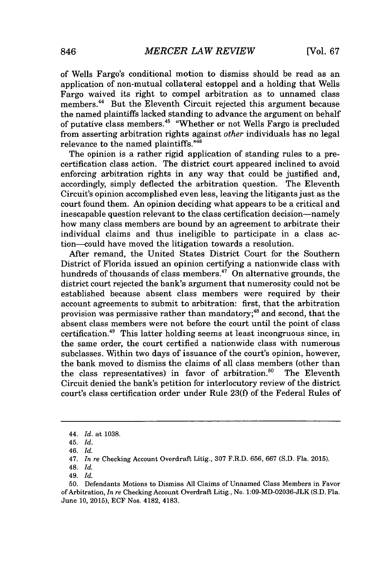of Wells Fargo's conditional motion to dismiss should be read as an application of non-mutual collateral estoppel and a holding that Wells Fargo waived its right to compel arbitration as to unnamed class members.<sup>44</sup> But the Eleventh Circuit rejected this argument because the named plaintiffs lacked standing to advance the argument on behalf of putative class members.<sup>45</sup> "Whether or not Wells Fargo is precluded from asserting arbitration rights against *other* individuals has no legal relevance to the named plaintiffs."<sup>46</sup>

The opinion is a rather rigid application of standing rules to a precertification class action. The district court appeared inclined to avoid enforcing arbitration rights in any way that could be justified and, accordingly, simply deflected the arbitration question. The Eleventh Circuit's opinion accomplished even less, leaving the litigants just as the court found them. An opinion deciding what appears to be a critical and inescapable question relevant to the class certification decision-namely how many class members are bound **by** an agreement to arbitrate their individual claims and thus ineligible to participate in a class action-could have moved the litigation towards a resolution.

After remand, the United States District Court for the Southern District of Florida issued an opinion certifying a nationwide class with hundreds of thousands of class members.<sup>47</sup> On alternative grounds, the district court rejected the bank's argument that numerosity could not be established because absent class members were required **by** their account agreements to submit to arbitration: first, that the arbitration provision was permissive rather than mandatory; $48$  and second, that the absent class members were not before the court until the point of class certification.<sup>49</sup> This latter holding seems at least incongruous since, in the same order, the court certified a nationwide class with numerous subclasses. Within two days of issuance of the court's opinion, however, the bank moved to dismiss the claims of all class members (other than the class representatives) in favor of arbitration.<sup>50</sup> The Eleventh Circuit denied the bank's petition for interlocutory review of the district court's class certification order under Rule **23(f)** of the Federal Rules of

*<sup>44.</sup> Id. at* **1038.**

<sup>45.</sup> *Id.*

*<sup>46.</sup> Id.*

*<sup>47.</sup> In re* Checking Account Overdraft Litig., **307** F.R.D. **656, 667 (S.D.** Fla. **2015).**

<sup>48.</sup> *Id.*

*<sup>49.</sup> Id.*

**<sup>50.</sup>** Defendants Motions to Dismiss **All** Claims of Unnamed Class Members in Favor of Arbitration, *In re* Checking Account Overdraft Litig., No. 1:09-MD-02036-JLK **(S.D.** Fla. June **10, 2015), ECF** Nos. 4182, 4183.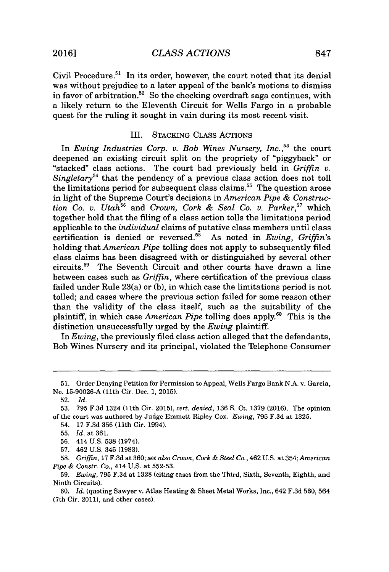Civil Procedure.<sup>51</sup> In its order, however, the court noted that its denial was without prejudice to a later appeal of the bank's motions to dismiss in favor of arbitration.<sup>52</sup> So the checking overdraft saga continues, with a likely return to the Eleventh Circuit for Wells Fargo in a probable quest for the ruling it sought in vain during its most recent visit.

#### III. STACKING CLASS **ACTIONs**

In *Ewing Industries Corp. v. Bob Wines Nursery, Inc.*<sup>53</sup> the court deepened an existing circuit split on the propriety of "piggyback" or "stacked" class actions. The court had previously held in *Griffin v. Singletary*<sup>54</sup> that the pendency of a previous class action does not toll the limitations period for subsequent class claims." The question arose in light of the Supreme Court's decisions in *American Pipe & Construction Co. v. Utah*<sup>56</sup> and *Crown, Cork & Seal Co. v. Parker*,<sup>57</sup> which together hold that the filing of a class action tolls the limitations period applicable to the *individual* claims of putative class members until class certification is denied or reversed." As noted in *Ewing, Griffin's* holding that *American Pipe* tolling does not apply to subsequently filed class claims has been disagreed with or distinguished **by** several other circuits.<sup>59</sup> The Seventh Circuit and other courts have drawn a line between cases such as *Griffin,* where certification of the previous class failed under Rule 23(a) or **(b),** in which case the limitations period is not tolled; and cases where the previous action failed for some reason other than the validity of the class itself, such as the suitability of the plaintiff, in which case *American Pipe* tolling does apply.<sup>60</sup> This is the distinction unsuccessfully urged **by** the *Ewing* plaintiff.

In *Ewing,* the previously filed class action alleged that the defendants, Bob Wines Nursery and its principal, violated the Telephone Consumer

**<sup>51.</sup>** Order Denying Petition for Permission to Appeal, Wells Fargo Bank **N.A.** v. Garcia, No. **15-90026-A** (11th Cir. Dec. **1, 2015).**

**<sup>52.</sup>** *Id.* **53. 795 F.3d** 1324 (11th Cir. **2015),** *cert. denied, 136* **S.** Ct. **1379 (2016).** The opinion of the court was authored **by** Judge Emmett Ripley Cox. *Ewing,* **795 F.3d** at **1325.**

<sup>54.</sup> **17 F.3d 356** (11th Cir. 1994).

**<sup>55.</sup>** *Id.* at **361.**

**<sup>56.</sup>** 414 **U.S. 538** (1974).

**<sup>57.</sup>** 462 **U.S.** 345 **(1983).**

**<sup>58.</sup>** *Griffin,* **17 F.3d** at **360;** *see also Crown, Cork & Steel Co.,* 462 **U.S.** at *354; American Pipe & Constr. Co.,* 414 **U.S.** at **552-53.**

**<sup>59.</sup>** *Ewing,* **795 F.3d** at **1328** (citing cases from the Third, Sixth, Seventh, Eighth, and Ninth Circuits).

**<sup>60.</sup>** *Id.* (quoting Sawyer v. Atlas Heating **&** Sheet Metal Works, Inc., 642 **F.3d 560, 564** (7th Cir. 2011), and other cases).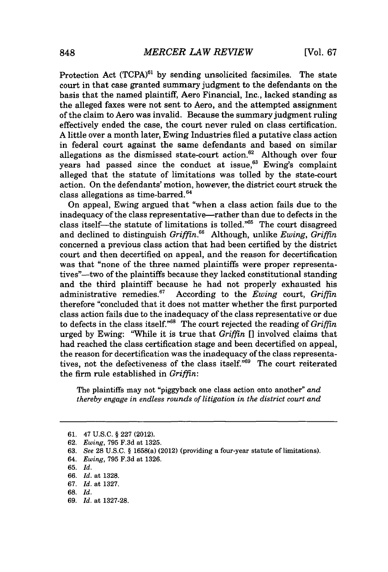Protection Act (TCPA)<sup>61</sup> by sending unsolicited facsimiles. The state court in that case granted summary judgment to the defendants on the basis that the named plaintiff, Aero Financial, Inc., lacked standing as the alleged faxes were not sent to Aero, and the attempted assignment of the claim to Aero was invalid. Because the summary judgment ruling effectively ended the case, the court never ruled on class certification. **A** little over a month later, Ewing Industries filed a putative class action in federal court against the same defendants and based on similar allegations as the dismissed state-court action.<sup>62</sup> Although over four years had passed since the conduct at issue, $6^3$  Ewing's complaint alleged that the statute of limitations was tolled **by** the state-court action. On the defendants' motion, however, the district court struck the class allegations as time-barred.<sup>64</sup>

On appeal, Ewing argued that "when a class action fails due to the inadequacy of the class representative-rather than due to defects in the class itself—the statute of limitations is tolled." $65$  The court disagreed and declined to distinguish *Griffin.*<sup>66</sup> Although, unlike *Ewing*, *Griffin* concerned a previous class action that had been certified **by** the district court and then decertified on appeal, and the reason for decertification was that "none of the three named plaintiffs were proper representatives"-two of the plaintiffs because they lacked constitutional standing and the third plaintiff because he had not properly exhausted his administrative remedies.<sup>67</sup> According to the *Ewing* court, *Griffin* According to the *Ewing* court, *Griffin* therefore "concluded that it does not matter whether the first purported class action fails due to the inadequacy of the class representative or due to defects in the class itself."<sup>68</sup> The court rejected the reading of *Griffin* urged **by** Ewing: "While it is true that *Griffin* **[]** involved claims that had reached the class certification stage and been decertified on appeal, the reason for decertification was the inadequacy of the class representatives, not the defectiveness of the class itself."<sup>69</sup> The court reiterated the firm rule established in *Griffin:*

The plaintiffs may not "piggyback one class action onto another" *and thereby engage in endless rounds of litigation in the district court and*

**<sup>61.</sup>** 47 **U.S.C. § 227** (2012).

**<sup>62.</sup>** *Ewing,* **795 F.3d** at **1325.**

**<sup>63.</sup>** *See* **28 U.S.C. §** 1658(a) (2012) (providing a four-year statute of limitations).

*<sup>64.</sup> Ewing,* **795 F.3d** at **1326.**

**<sup>65.</sup>** *Id.*

**<sup>66.</sup>** *Id.* at **1328.**

**<sup>67.</sup>** *Id.* at **1327.**

**<sup>68.</sup>** *Id.*

**<sup>69.</sup>** *Id.* at **1327-28.**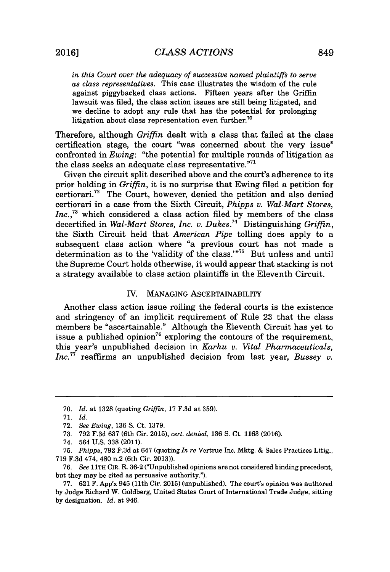*in this Court over the adequacy of successive named plaintiffs to serve as class representatives.* This case illustrates the wisdom of the rule against piggybacked class actions. Fifteen years after the Griffin lawsuit was filed, the class action issues are still being litigated, and we decline to adopt any rule that has the potential for prolonging litigation about class representation even further.<sup>70</sup>

Therefore, although *Griffin* dealt with a class that failed at the class certification stage, the court "was concerned about the very issue" confronted in *Ewing:* "the potential for multiple rounds of litigation as the class seeks an adequate class representative."<sup>71</sup>

Given the circuit split described above and the court's adherence to its prior holding in *Griffin,* it is no surprise that Ewing filed a petition for certiorari.<sup>72</sup> The Court, however, denied the petition and also denied certiorari in a case from the Sixth Circuit, *Phipps v. Wal-Mart Stores, Inc.,"* which considered a class action filed **by** members of the class decertified in *Wal-Mart Stores, Inc. v. Dukes.*<sup>74</sup> Distinguishing *Griffin*, the Sixth Circuit held that *American Pipe* tolling does apply to a subsequent class action where "a previous court has not made a determination as to the 'validity of the class.'"<sup>75</sup> But unless and until the Supreme Court holds otherwise, it would appear that stacking is not a strategy available to class action plaintiffs in the Eleventh Circuit.

#### IV. **MANAGING** ASCERTAINABILITY

Another class action issue roiling the federal courts is the existence and stringency of an implicit requirement of Rule **23** that the class members be "ascertainable." Although the Eleventh Circuit has yet to issue a published opinion<sup>76</sup> exploring the contours of the requirement, this year's unpublished decision in *Karhu v. Vital Pharmaceuticals, Inc."* reaffirms an unpublished decision from last year, *Bussey v.*

**<sup>70.</sup>** *Id.* at **1328** (quoting *Griffin,* **17 F.3d** at **359).**

**<sup>71.</sup>** *Id.*

**<sup>72.</sup>** *See Ewing,* **136 S.** Ct. **1379.**

**<sup>73. 792</sup> F.3d 637** (6th Cir. 2015), *cert. denied,* **136 S.** Ct. **1163 (2016).**

<sup>74. 564</sup> **U.S. 338** (2011).

**<sup>75.</sup>** *Phipps,* **792 F.3d** at 647 (quoting *In re* Vertrue Inc. Mktg. **&** Sales Practices Litig., **719 F.3d** 474, 480 n.2 (6th Cir. **2013)).**

*<sup>76.</sup> See* 11TH CIR. R. **36-2** ("Unpublished opinions are not considered binding precedent, but they may be cited as persuasive authority.").

**<sup>77. 621</sup>** F. App'x 945 (11th Cir. **2015)** (unpublished). The court's opinion was authored **by** Judge Richard W. Goldberg, United States Court of International Trade Judge, sitting **by** designation. *Id.* at 946.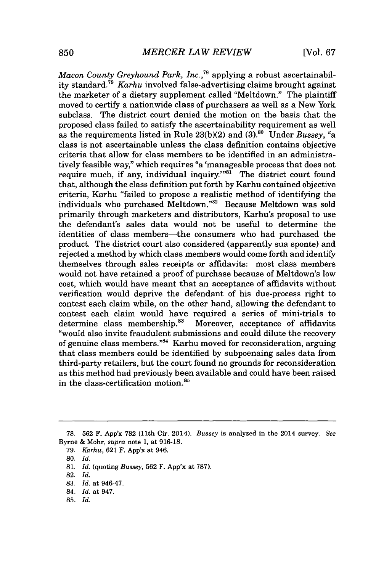*Macon County Greyhound Park, Inc.*<sup>78</sup> applying a robust ascertainability standard."<sup>9</sup>*Karhu* involved false-advertising claims brought against the marketer of a dietary supplement called "Meltdown." The plaintiff moved to certify a nationwide class of purchasers as well as a New York subclass. The district court denied the motion on the basis that the proposed class failed to satisfy the ascertainability requirement as well as the requirements listed in Rule **23(b)(2)** and **(3).8o** Under *Bussey, "a* class is not ascertainable unless the class definition contains objective criteria that allow for class members to be identified in an administratively feasible way," which requires "a 'manageable process that does not require much, if any, individual inquiry.<sup> $m81$ </sup> The district court found that, although the class definition put forth **by** Karhu contained objective criteria, Karhu "failed to propose a realistic method of identifying the individuals who purchased Meltdown."<sup>82</sup> Because Meltdown was sold primarily through marketers and distributors, Karhu's proposal to use the defendant's sales data would not be useful to determine the identities of class members—the consumers who had purchased the product. The district court also considered (apparently sua sponte) and rejected a method **by** which class members would come forth and identify themselves through sales receipts or affidavits: most class members would not have retained a proof of purchase because of Meltdown's low cost, which would have meant that an acceptance of affidavits without verification would deprive the defendant of his due-process right to contest each claim while, on the other hand, allowing the defendant to contest each claim would have required a series of mini-trials to determine class membership.<sup>83</sup> Moreover, acceptance of affidavits Moreover, acceptance of affidavits "would also invite fraudulent submissions and could dilute the recovery of genuine class members."<sup>84</sup> Karhu moved for reconsideration, arguing that class members could be identified **by** subpoenaing sales data from third-party retailers, but the court found no grounds for reconsideration as this method had previously been available and could have been raised in the class-certification motion.<sup>85</sup>

**79.** *Karhu, 621* F. App'x at 946.

- **82.** *Id.*
- **83.** *Id.* at 946-47.
- 84. *Id.* at 947.
- **85.** *Id.*

**<sup>78. 562</sup>** F. App'x **782** (11th Cir. 2014). *Bussey* is analyzed in the 2014 survey. *See* Byrne **&** Mohr, *supra* note **1,** at **916-18.**

**<sup>80.</sup>** *Id.*

**<sup>81.</sup>** *Id.* (quoting *Bussey, 562* F. App'x at **787).**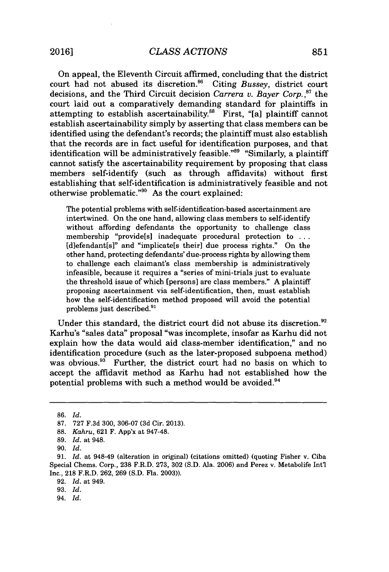On appeal, the Eleventh Circuit affirmed, concluding that the district court had not abused its discretion.<sup>86</sup> Citing *Bussey*, district court decisions, and the Third Circuit decision *Carrera v. Bayer Corp.*<sup>87</sup> the court laid out a comparatively demanding standard for plaintiffs in attempting to establish ascertainability.<sup>88</sup> First, "[a] plaintiff cannot establish ascertainability simply **by** asserting that class members can be identified using the defendant's records; the plaintiff must also establish that the records are in fact useful for identification purposes, and that identification will be administratively feasible."<sup>89</sup> "Similarly, a plaintiff cannot satisfy the ascertainability requirement **by** proposing that class members self-identify (such as through affidavits) without first establishing that self-identification is administratively feasible and not otherwise problematic."<sup>90</sup> As the court explained:

The potential problems with self-identification-based ascertainment are intertwined. On the one hand, allowing class members to self-identify without affording defendants the opportunity to challenge class membership "providels] inadequate procedural protection to **...** [d]efendant[s]" and "implicate[s their] due process rights." On the other hand, protecting defendants' due-process rights **by** allowing them to challenge each claimant's class membership is administratively infeasible, because it requires a "series of mini-trials just to evaluate the threshold issue of which [persons] are class members." **A** plaintiff proposing ascertainment via self-identification, then, must establish how the self-identification method proposed will avoid the potential problems just described.<sup>91</sup>

Under this standard, the district court did not abuse its discretion. $92$ Karhu's "sales data" proposal "was incomplete, insofar as Karhu did not explain how the data would aid class-member identification," and no identification procedure (such as the later-proposed subpoena method) was obvious.<sup>93</sup> Further, the district court had no basis on which to accept the affidavit method as Karhu had not established how the potential problems with such a method would be avoided.<sup>94</sup>

**92.** *Id.* at 949.

94. *Id.*

**<sup>86.</sup>** *Id.*

**<sup>87. 727</sup> F.3d 300, 306-07 (3d** Cir. **2013).**

**<sup>88.</sup>** *Kahru,* **621** F. App'x at 947-48.

**<sup>89.</sup>** *Id.* at 948.

**<sup>90.</sup>** *Id.*

**<sup>91.</sup>** *Id.* at 948-49 (alteration in original) (citations omitted) (quoting Fisher v. Ciba Special Chems. Corp., **238** F.R.D. **273, 302 (S.D.** Ala. **2006)** and Perez v. Metabolife Int'l Inc., **218** F.R.D. **262, 269 (S.D.** Fla. **2003)).**

**<sup>93.</sup>** *Id.*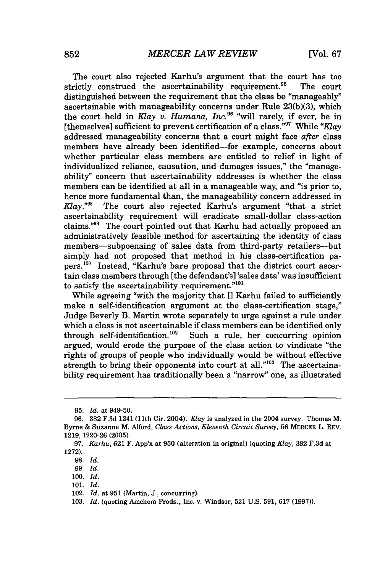The court also rejected Karhu's argument that the court has too strictly construed the ascertainability requirement.<sup>95</sup> The court distinguished between the requirement that the class be "manageably" ascertainable with manageability concerns under Rule **23(b)(3),** which the court held in *Klay v. Humana, Inc." "will* rarely, if ever, be in [themselves] sufficient to prevent certification of a class."<sup>97</sup> While "Klay" addressed manageability concerns that a court might face *after* class members have already been identified-for example, concerns about whether particular class members are entitled to relief in light of individualized reliance, causation, and damages issues," the "manageability" concern that ascertainability addresses is whether the class members can be identified at all in a manageable way, and "is prior to, hence more fundamental than, the manageability concern addressed in *Klay.*<sup>"98</sup> The court also rejected Karhu's argument "that a strict" ascertainability requirement will eradicate small-dollar class-action claims." $99$  The court pointed out that Karhu had actually proposed an administratively feasible method for ascertaining the identity of class members-subpoenaing of sales data from third-party retailers--but simply had not proposed that method in his class-certification pa $pers.<sup>100</sup>$  Instead, "Karhu's bare proposal that the district court ascertain class members through [the defendant's] 'sales data' was insufficient to satisfy the ascertainability requirement." $101$ 

While agreeing "with the majority that **[]** Karhu failed to sufficiently make a self-identification argument at the class-certification stage," Judge Beverly B. Martin wrote separately to urge against a rule under which a class is not ascertainable if class members can be identified only through self-identification.<sup>102</sup> Such a rule, her concurring opinion argued, would erode the purpose of the class action to vindicate "the rights of groups of people who individually would be without effective strength to bring their opponents into court at all."<sup>103</sup> The ascertainability requirement has traditionally been a "narrow" one, as illustrated

**<sup>95.</sup>** *Id. at* 949-50.

**<sup>96. 382</sup> F.3d** 1241 (11th Cir. 2004). *Klay is* analyzed in the 2004 survey. Thomas M. Byrne **&** Suzanne M. Alford, *Class Actions, Eleventh Circuit Survey,* **56** MERCER L. REV. **1219, 1220-26 (2005).**

*<sup>97.</sup> Karhu,* **621** F. App'x at **950** (alteration in original) (quoting *Klay,* **382 F.3d** at **1272).**

**<sup>98.</sup>** *Id.*

**<sup>99.</sup>** *Id.*

**<sup>100.</sup>** *Id.*

**<sup>101.</sup>** *Id.*

<sup>102.</sup> *Id.* at **951** (Martin, **J.,** concurring).

**<sup>103.</sup>** *Id.* (quoting Amchem Prods., Inc. v. Windsor, **521 U.S. 591, 617 (1997)).**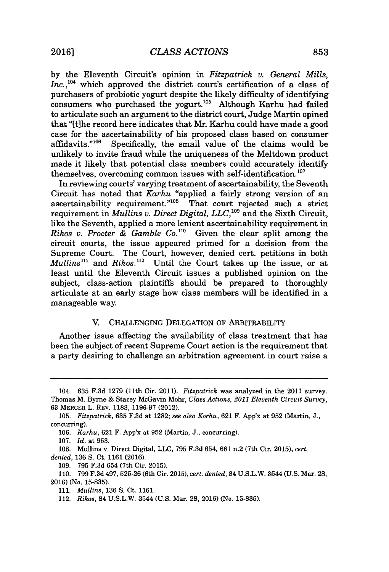**by** the Eleventh Circuit's opinion in *Fitzpatrick v. General Mills, Inc.,1o'* which approved the district court's certification of a class of purchasers of probiotic yogurt despite the likely difficulty of identifying consumers who purchased the yogurt.<sup>105</sup> Although Karhu had failed to articulate such an argument to the district court, Judge Martin opined that "[tihe record here indicates that Mr. Karhu could have made a good case for the ascertainability of his proposed class based on consumer affidavits.<sup>"106</sup> Specifically, the small value of the claims would be Specifically, the small value of the claims would be unlikely to invite fraud while the uniqueness of the Meltdown product made it likely that potential class members could accurately identify themselves, overcoming common issues with self-identification.'

In reviewing courts' varying treatment of ascertainability, the Seventh Circuit has noted that *Karhu* "applied a fairly strong version of an ascertainability requirement. $n_{108}$  That court rejected such a strict requirement in *Mullins v. Direct Digital, LLC*,<sup>109</sup> and the Sixth Circuit, like the Seventh, applied a more lenient ascertainability requirement in *Rikos v. Procter & Gamble Co."'* Given the clear split among the circuit courts, the issue appeared primed for a decision from the Supreme Court. The Court, however, denied cert. petitions in both  $Mullins<sup>111</sup>$  and  $Rikos<sup>112</sup>$ . Until the Court takes up the issue, or at least until the Eleventh Circuit issues a published opinion on the subject, class-action plaintiffs should be prepared to thoroughly articulate at an early stage how class members will be identified in a manageable way.

#### V. **CHALLENGING** DELEGATION OF ARBITRABILITY

Another issue affecting the availability of class treatment that has been the subject of recent Supreme Court action is the requirement that a party desiring to challenge an arbitration agreement in court raise a

**106.** *Karhu,* **621** F. App'x at **952** (Martin, **J.,** concurring).

**107.** *Id.* at **953.**

**108.** Mullins v. Direct Digital, **LLC, 795 F.3d** 654, **661** n.2 (7th Cir. **2015),** *cert. denied,* **136 S.** Ct. **1161 (2016).**

**109. 795 F.3d** 654 (7th Cir. **2015).**

<sup>104.</sup> **635 F.3d 1279** (11th Cir. 2011). *Fitzpatrick* was analyzed in the 2011 survey. Thomas M. Byrne **&** Stacey McGavin Mohr, *Class Actions, 2011 Eleventh Circuit Survey,* **63** MERCER L. REV. **1183, 1196-97** (2012).

*<sup>105.</sup> Fitzpatrick,* **635 F.3d** at **1282;** *see also Korhu,* **621** F. App'x at **952** (Martin, **J.,** concurring).

**<sup>110. 799</sup> F.3d 497, 525-26** (6th Cir. **2015),** *cert. denied,* **84 U.S.L.W.** 3544 **(U.S.** Mar. **28, 2016)** (No. **15-835).**

*<sup>111.</sup> Mullins,* **136 S.** Ct. **1161.**

*<sup>112.</sup> Rikos,* 84 **U.S.L.W.** 3544 **(U.S.** Mar. **28, 2016)** (No. **15-835).**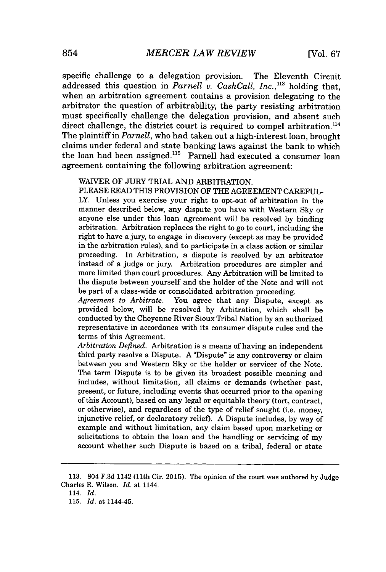specific challenge to a delegation provision. The Eleventh Circuit addressed this question in *Parnell v. CashCall, Inc.,"'* holding that, when an arbitration agreement contains a provision delegating to the arbitrator the question of arbitrability, the party resisting arbitration must specifically challenge the delegation provision, and absent such direct challenge, the district court is required to compel arbitration.<sup>114</sup> The plaintiff in *Parnell,* who had taken out a high-interest loan, brought claims under federal and state banking laws against the bank to which the loan had been assigned.<sup>115</sup> Parnell had executed a consumer loan agreement containing the following arbitration agreement:

#### WAIVER OF **JURY** TRIAL **AND** ARBITRATION.

**PLEASE** READ THIS PROVISION OF THE **AGREEMENT CAREFUL-**LY. Unless you exercise your right to opt-out of arbitration in the manner described below, any dispute you have with Western **Sky** or anyone else under this loan agreement will be resolved **by** binding arbitration. Arbitration replaces the right to go to court, including the right to have a jury, to engage in discovery (except as may be provided in the arbitration rules), and to participate in a class action or similar proceeding. In Arbitration, a dispute is resolved **by** an arbitrator instead of a judge or jury. Arbitration procedures are simpler and more limited than court procedures. Any Arbitration will be limited to the dispute between yourself and the holder of the Note and will not be part of a class-wide or consolidated arbitration proceeding.

*Agreement to Arbitrate.* You agree that any Dispute, except as provided below, will be resolved **by** Arbitration, which shall be conducted **by** the Cheyenne River Sioux Tribal Nation **by** an authorized representative in accordance with its consumer dispute rules and the terms of this Agreement.

*Arbitration Defined.* Arbitration is a means of having an independent third party resolve a Dispute. **A** "Dispute" is any controversy or claim between you and Western **Sky** or the holder or servicer of the Note. The term Dispute is to be given its broadest possible meaning and includes, without limitation, all claims or demands (whether past, present, or future, including events that occurred prior to the opening of this Account), based on any legal or equitable theory (tort, contract, or otherwise), and regardless of the type of relief sought (i.e. money, injunctive relief, or declaratory relief). **A** Dispute includes, **by** way of example and without limitation, any claim based upon marketing or solicitations to obtain the loan and the handling or servicing of my account whether such Dispute is based on a tribal, federal or state

**<sup>113.</sup>** 804 **F.3d** 1142 (11th Cir. **2015).** The opinion of the court was authored **by** Judge Charles R. Wilson. *Id.* at 1144.

<sup>114.</sup> *Id.*

**<sup>115.</sup>** *Id.* at 1144-45.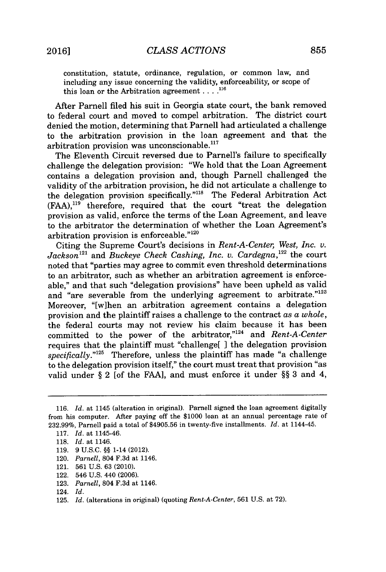constitution, statute, ordinance, regulation, or common law, and including any issue concerning the validity, enforceability, or scope of this loan or the Arbitration agreement **. . . .n1**

After Parnell filed his suit in Georgia state court, the bank removed to federal court and moved to compel arbitration. The district court denied the motion, determining that Parnell had articulated a challenge to the arbitration provision in the loan agreement and that the arbitration provision was unconscionable. $117$ 

The Eleventh Circuit reversed due to Parnell's failure to specifically challenge the delegation provision: "We hold that the Loan Agreement contains a delegation provision and, though Parnell challenged the validity of the arbitration provision, he did not articulate a challenge to the delegation provision specifically."<sup>118</sup> The Federal Arbitration Act **(FAA),"'** therefore, required that the court "treat the delegation provision as valid, enforce the terms of the Loan Agreement, and leave to the arbitrator the determination of whether the Loan Agreement's arbitration provision is enforceable."<sup>120</sup>

Citing the Supreme Court's decisions in *Rent-A-Center, West, Inc. v.*  $Jackson^{121}$  and *Buckeye Check Cashing, Inc. v. Cardegna*,<sup>122</sup> the court noted that "parties may agree to commit even threshold determinations to an arbitrator, such as whether an arbitration agreement is enforceable," and that such "delegation provisions" have been upheld as valid and "are severable from the underlying agreement to arbitrate."<sup>123</sup> Moreover, "[w]hen an arbitration agreement contains a delegation provision and the plaintiff raises a challenge to the contract *as a whole,* the federal courts may not review his claim because it has been committed to the power of the arbitrator,"<sup>124</sup> and *Rent-A-Center* requires that the plaintiff must "challenge[ ] the delegation provision specifically."<sup>125</sup> Therefore, unless the plaintiff has made "a challenge to the delegation provision itself," the court must treat that provision "as valid under **§** 2 [of the **FAA],** and must enforce it under **§§ 3** and 4,

**<sup>116.</sup>** *Id.* at 1145 (alteration in original). Parnell signed the loan agreement digitally from his computer. After paying off the **\$1000** loan at an annual percentage rate of **232.99%,** Parnell paid a total of **\$4905.56** in twenty-five installments. *Id.* at 1144-45.

**<sup>117.</sup>** *Id.* at 1145-46.

**<sup>118.</sup>** *Id.* at 1146.

**<sup>119. 9</sup> U.S.C. §§** 1-14 (2012).

<sup>120.</sup> *Parnell,* 804 **F.3d** at 1146.

<sup>121.</sup> **561 U.S. 63** (2010).

<sup>122. 546</sup> **U.S.** 440 **(2006).**

**<sup>123.</sup>** *Parnell,* 804 **F.3d** at 1146.

<sup>124.</sup> *Id.*

**<sup>125.</sup>** *Id.* (alterations in original) (quoting *Rent-A-Center,* **561 U.S.** at **72).**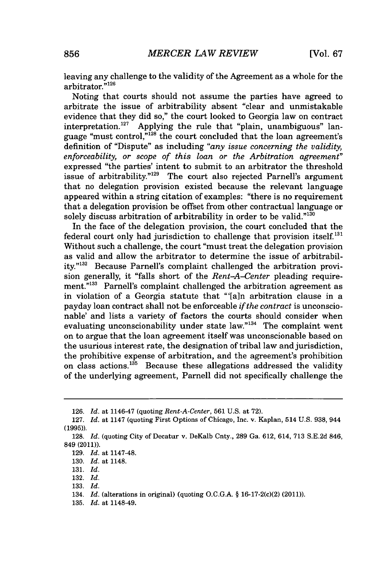leaving any challenge to the validity of the Agreement as a whole for the arbitrator."<sup>126</sup>

Noting that courts should not assume the parties have agreed to arbitrate the issue of arbitrability absent "clear and unmistakable evidence that they did so," the court looked to Georgia law on contract interpretation.<sup>127</sup> Applying the rule that "plain, unambiguous" lan-Applying the rule that "plain, unambiguous" language "must control,"'28 the court concluded that the loan agreement's definition of "Dispute" as including *"any issue concerning the validity, enforceability, or scope of this loan or the Arbitration agreement"* expressed "the parties' intent to submit to an arbitrator the threshold issue of arbitrability."<sup>129</sup> The court also rejected Parnell's argument that no delegation provision existed because the relevant language appeared within a string citation of examples: "there is no requirement that a delegation provision be offset from other contractual language or solely discuss arbitration of arbitrability in order to be valid."<sup>130</sup>

In the face of the delegation provision, the court concluded that the federal court only had jurisdiction to challenge that provision itself.' Without such a challenge, the court "must treat the delegation provision as valid and allow the arbitrator to determine the issue of arbitrability."<sup>132</sup> Because Parnell's complaint challenged the arbitration provision generally, it "falls short of the *Rent-A-Center* pleading requirement."<sup>133</sup> Parnell's complaint challenged the arbitration agreement as in violation of a Georgia statute that "'[a]n arbitration clause in a payday loan contract shall not be enforceable *if the contract* is unconscionable' and lists a variety of factors the courts should consider when evaluating unconscionability under state law." $134$  The complaint went on to argue that the loan agreement itself was unconscionable based on the usurious interest rate, the designation of tribal law and jurisdiction, the prohibitive expense of arbitration, and the agreement's prohibition on class actions.<sup>135</sup> Because these allegations addressed the validity of the underlying agreement, Parnell did not specifically challenge the

**<sup>126.</sup>** *Id.* at 1146-47 (quoting *Rent-A-Center,* **561 U.S.** at **72).**

**<sup>127.</sup>** *Id.* at 1147 (quoting First Options of Chicago, Inc. v. Kaplan, 514 **U.S. 938,** 944 **(1995)).**

**<sup>128.</sup>** *Id.* (quoting City of Decatur v. DeKalb Cnty., **289** Ga. **612,** 614, **713 S.E.2d** 846, 849 (2011)).

**<sup>129.</sup>** *Id.* at 1147-48.

**<sup>130.</sup>** *Id.* at 1148.

**<sup>131.</sup>** *Id.*

**<sup>132.</sup>** *Id.*

**<sup>133.</sup>** *Id.*

<sup>134.</sup> *Id.* (alterations in original) (quoting **O.C.G.A. §** 16-17-2(c)(2) (2011)).

**<sup>135.</sup>** *Id.* at 1148-49.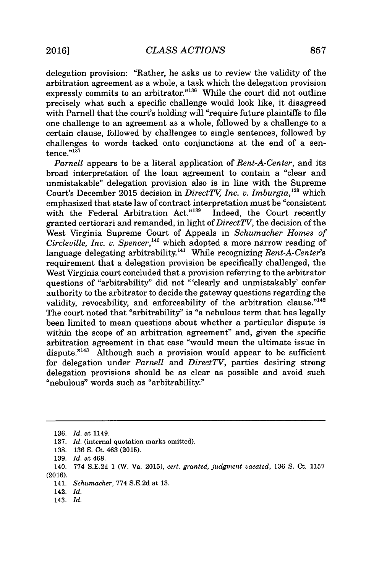delegation provision: "Rather, he asks us to review the validity of the arbitration agreement as a whole, a task which the delegation provision expressly commits to an arbitrator."<sup>136</sup> While the court did not outline precisely what such a specific challenge would look like, it disagreed with Parnell that the court's holding will "require future plaintiffs to file one challenge to an agreement as a whole, followed **by** a challenge to a certain clause, followed **by** challenges to single sentences, followed **by** challenges to words tacked onto conjunctions at the end of a sentence. $n^{137}$ 

*Parnell* appears to be a literal application of *Rent-A-Center,* and its broad interpretation of the loan agreement to contain a "clear and unmistakable" delegation provision also is in line with the Supreme Court's December 2015 decision in *DirectTV*, Inc. v. Imburgia,<sup>138</sup> which emphasized that state law of contract interpretation must be "consistent with the Federal Arbitration Act."139 Indeed, the Court recently granted certiorari and remanded, in light of *DirectTV,* the decision of the West Virginia Supreme Court of Appeals in *Schumacher Homes of Circleville, Inc. v. Spencer*,<sup>140</sup> which adopted a more narrow reading of language delegating arbitrability.141 While recognizing *Rent-A-Center's* requirement that a delegation provision be specifically challenged, the West Virginia court concluded that a provision referring to the arbitrator questions of "arbitrability" did not "'clearly and unmistakably' confer authority to the arbitrator to decide the gateway questions regarding the validity, revocability, and enforceability of the arbitration clause."<sup>142</sup> The court noted that "arbitrability" is "a nebulous term that has legally been limited to mean questions about whether a particular dispute is within the scope of an arbitration agreement" and, given the specific arbitration agreement in that case "would mean the ultimate issue in dispute. $143$  Although such a provision would appear to be sufficient for delegation under *Parnell* and *DirectTV,* parties desiring strong delegation provisions should be as clear as possible and avoid such "nebulous" words such as "arbitrability."

142. *Id.*

143. *Id.*

**<sup>136.</sup>** *Id.* at 1149.

**<sup>137.</sup>** *Id.* (internal quotation marks omitted).

**<sup>138. 136</sup> S.** Ct. 463 **(2015).**

**<sup>139.</sup>** *Id.* at 468.

<sup>140.</sup> **774 S.E.2d 1** (W. Va. **2015),** *cert. granted, judgment vacated, 136* **S.** Ct. **1157 (2016).**

<sup>141.</sup> *Schumacher,* **774 S.E.2d** at **13.**